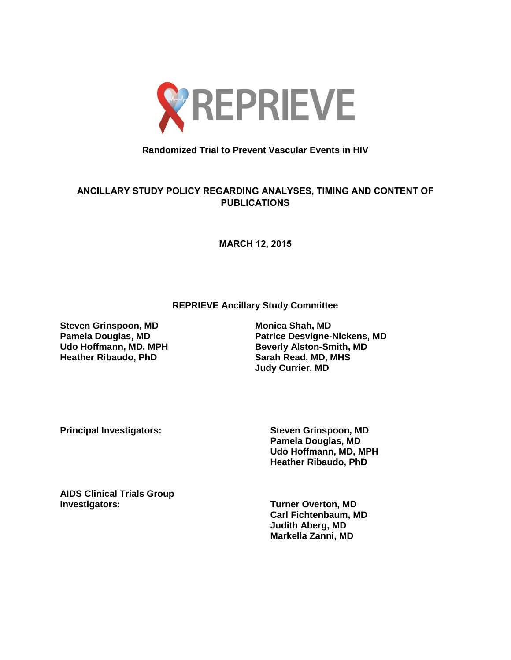

## **Randomized Trial to Prevent Vascular Events in HIV**

## **ANCILLARY STUDY POLICY REGARDING ANALYSES, TIMING AND CONTENT OF PUBLICATIONS**

**MARCH 12, 2015**

**REPRIEVE Ancillary Study Committee**

**Steven Grinspoon, MD Monica Shah, MD**<br> **Pamela Douglas, MD Monica Desvigne-Heather Ribaudo, PhD Sarah Read, MD, MHS**

**Pamela Douglas, MD Patrice Desvigne-Nickens, MD Beverly Alston-Smith, MD Judy Currier, MD**

**Principal Investigators: Steven Grinspoon, MD**

**Pamela Douglas, MD Udo Hoffmann, MD, MPH Heather Ribaudo, PhD** 

**AIDS Clinical Trials Group** 

**Turner Overton, MD Carl Fichtenbaum, MD Judith Aberg, MD Markella Zanni, MD**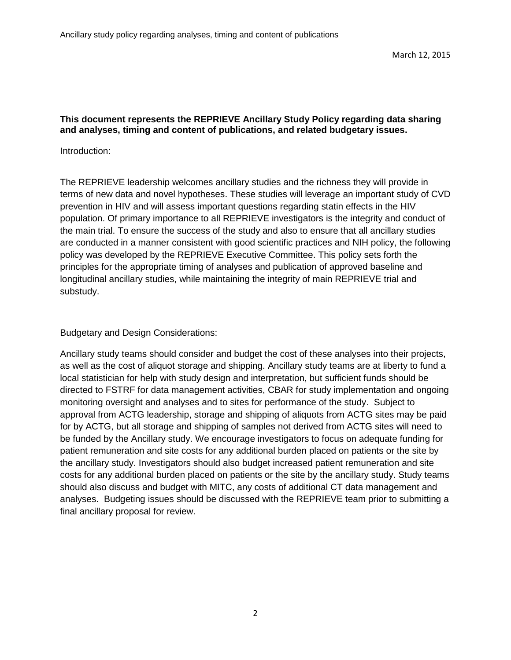## **This document represents the REPRIEVE Ancillary Study Policy regarding data sharing and analyses, timing and content of publications, and related budgetary issues.**

## Introduction:

The REPRIEVE leadership welcomes ancillary studies and the richness they will provide in terms of new data and novel hypotheses. These studies will leverage an important study of CVD prevention in HIV and will assess important questions regarding statin effects in the HIV population. Of primary importance to all REPRIEVE investigators is the integrity and conduct of the main trial. To ensure the success of the study and also to ensure that all ancillary studies are conducted in a manner consistent with good scientific practices and NIH policy, the following policy was developed by the REPRIEVE Executive Committee. This policy sets forth the principles for the appropriate timing of analyses and publication of approved baseline and longitudinal ancillary studies, while maintaining the integrity of main REPRIEVE trial and substudy.

Budgetary and Design Considerations:

Ancillary study teams should consider and budget the cost of these analyses into their projects, as well as the cost of aliquot storage and shipping. Ancillary study teams are at liberty to fund a local statistician for help with study design and interpretation, but sufficient funds should be directed to FSTRF for data management activities, CBAR for study implementation and ongoing monitoring oversight and analyses and to sites for performance of the study. Subject to approval from ACTG leadership, storage and shipping of aliquots from ACTG sites may be paid for by ACTG, but all storage and shipping of samples not derived from ACTG sites will need to be funded by the Ancillary study. We encourage investigators to focus on adequate funding for patient remuneration and site costs for any additional burden placed on patients or the site by the ancillary study. Investigators should also budget increased patient remuneration and site costs for any additional burden placed on patients or the site by the ancillary study. Study teams should also discuss and budget with MITC, any costs of additional CT data management and analyses. Budgeting issues should be discussed with the REPRIEVE team prior to submitting a final ancillary proposal for review.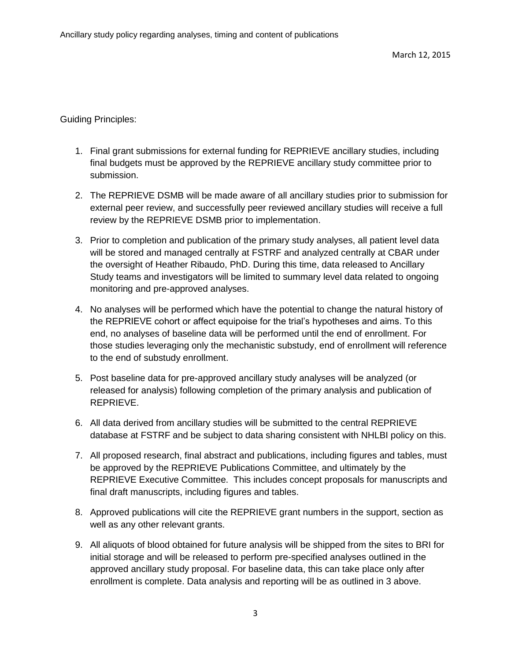Guiding Principles:

- 1. Final grant submissions for external funding for REPRIEVE ancillary studies, including final budgets must be approved by the REPRIEVE ancillary study committee prior to submission.
- 2. The REPRIEVE DSMB will be made aware of all ancillary studies prior to submission for external peer review, and successfully peer reviewed ancillary studies will receive a full review by the REPRIEVE DSMB prior to implementation.
- 3. Prior to completion and publication of the primary study analyses, all patient level data will be stored and managed centrally at FSTRF and analyzed centrally at CBAR under the oversight of Heather Ribaudo, PhD. During this time, data released to Ancillary Study teams and investigators will be limited to summary level data related to ongoing monitoring and pre-approved analyses.
- 4. No analyses will be performed which have the potential to change the natural history of the REPRIEVE cohort or affect equipoise for the trial's hypotheses and aims. To this end, no analyses of baseline data will be performed until the end of enrollment. For those studies leveraging only the mechanistic substudy, end of enrollment will reference to the end of substudy enrollment.
- 5. Post baseline data for pre-approved ancillary study analyses will be analyzed (or released for analysis) following completion of the primary analysis and publication of REPRIEVE.
- 6. All data derived from ancillary studies will be submitted to the central REPRIEVE database at FSTRF and be subject to data sharing consistent with NHLBI policy on this.
- 7. All proposed research, final abstract and publications, including figures and tables, must be approved by the REPRIEVE Publications Committee, and ultimately by the REPRIEVE Executive Committee. This includes concept proposals for manuscripts and final draft manuscripts, including figures and tables.
- 8. Approved publications will cite the REPRIEVE grant numbers in the support, section as well as any other relevant grants.
- 9. All aliquots of blood obtained for future analysis will be shipped from the sites to BRI for initial storage and will be released to perform pre-specified analyses outlined in the approved ancillary study proposal. For baseline data, this can take place only after enrollment is complete. Data analysis and reporting will be as outlined in 3 above.